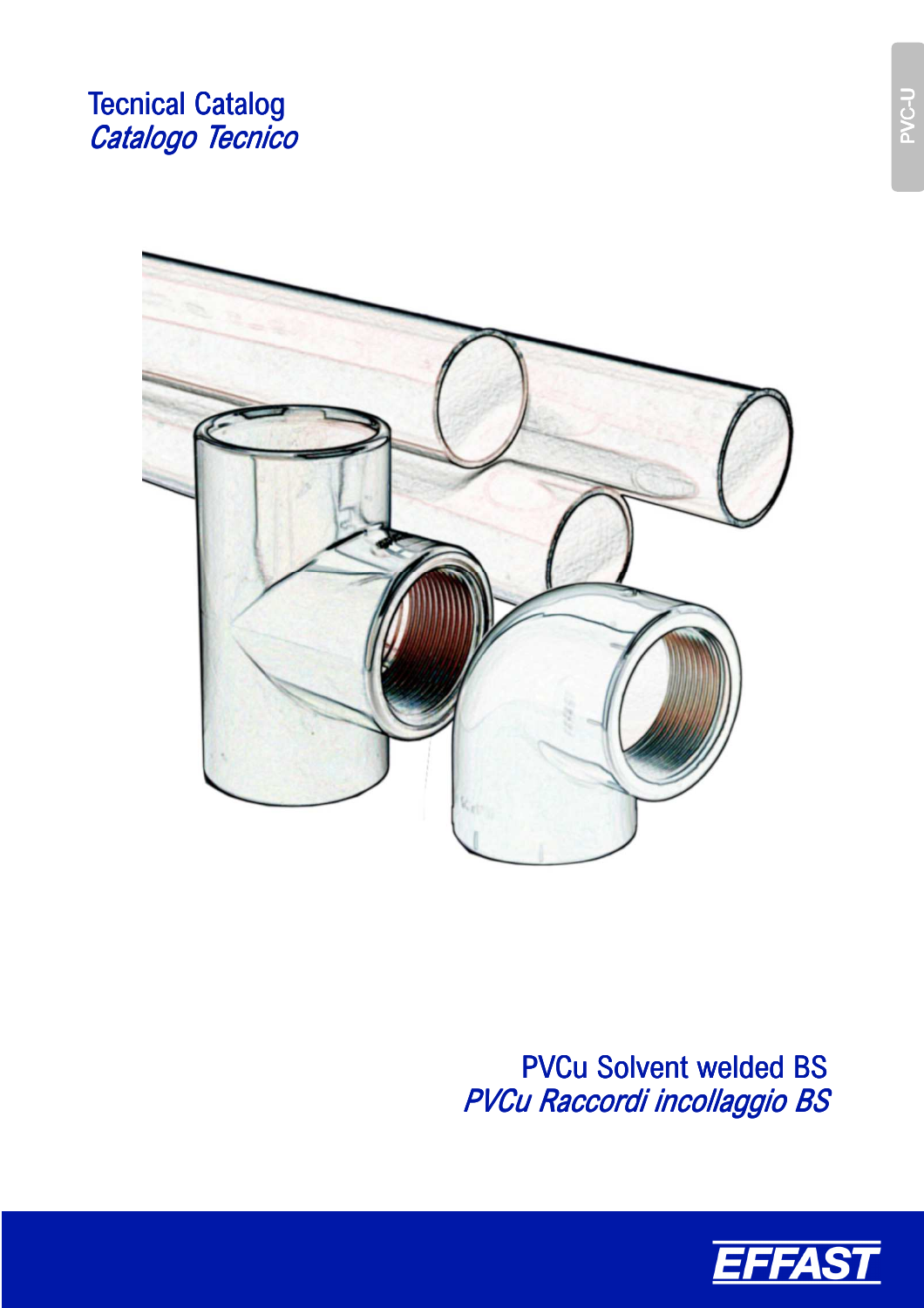# **Tecnical Catalog** Catalogo Tecnico



PVCu Solvent welded BS PVCu Raccordi incollaggio BS



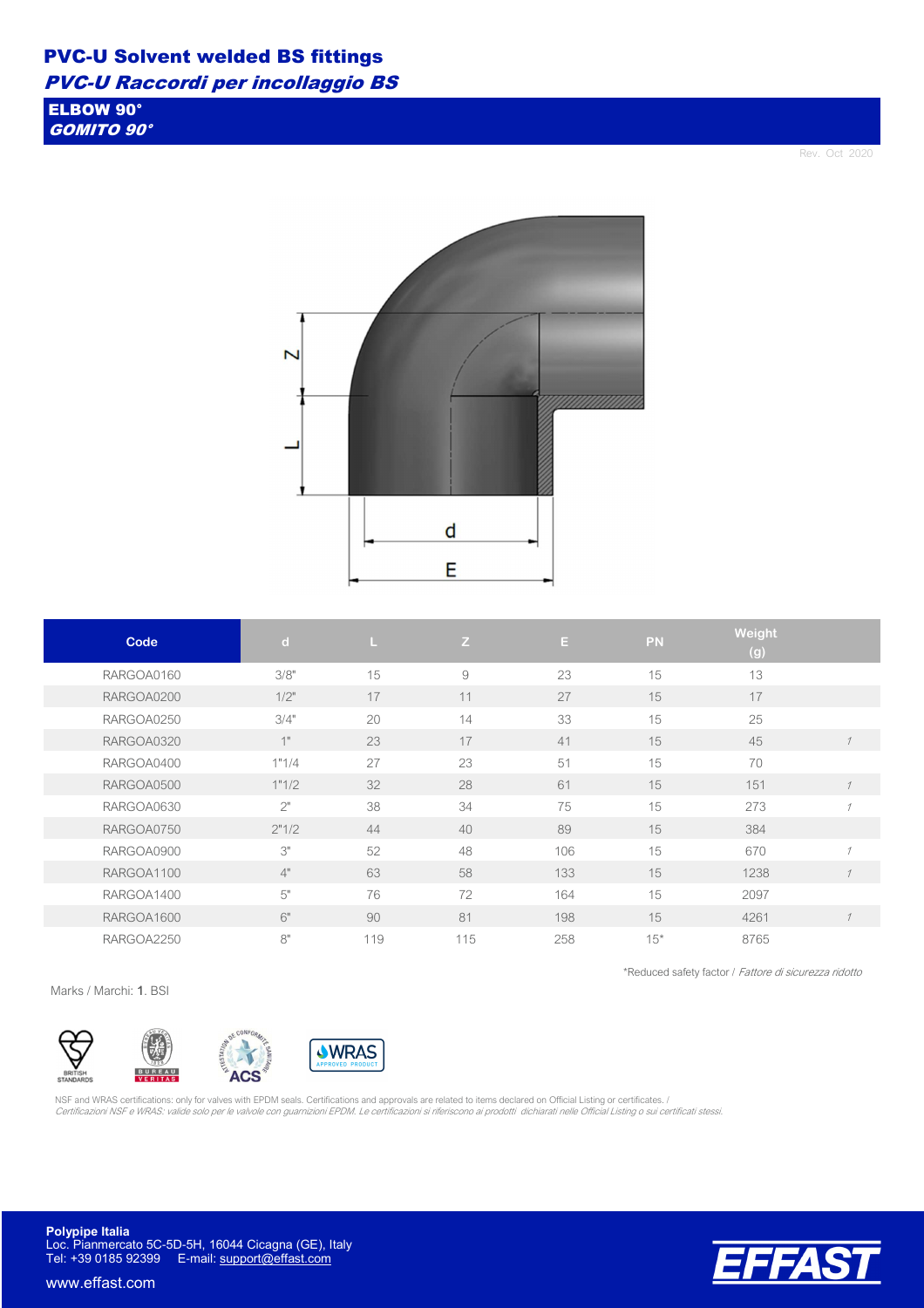ELBOW 90° GOMITO 90°

Rev. Oct 2020



| Code       | $\mathbf d$ | L.  | Z   | E.  | PN    | Weight<br>(g) |                |
|------------|-------------|-----|-----|-----|-------|---------------|----------------|
| RARGOA0160 | 3/8"        | 15  | 9   | 23  | 15    | 13            |                |
| RARGOA0200 | $1/2$ "     | 17  | 11  | 27  | 15    | 17            |                |
| RARGOA0250 | 3/4"        | 20  | 14  | 33  | 15    | 25            |                |
| RARGOA0320 | 1"          | 23  | 17  | 41  | 15    | 45            |                |
| RARGOA0400 | 1"1/4       | 27  | 23  | 51  | 15    | 70            |                |
| RARGOA0500 | 1"1/2       | 32  | 28  | 61  | 15    | 151           | $\mathcal I$   |
| RARGOA0630 | 2"          | 38  | 34  | 75  | 15    | 273           |                |
| RARGOA0750 | 2"1/2       | 44  | 40  | 89  | 15    | 384           |                |
| RARGOA0900 | 3"          | 52  | 48  | 106 | 15    | 670           | $\overline{A}$ |
| RARGOA1100 | 4"          | 63  | 58  | 133 | 15    | 1238          |                |
| RARGOA1400 | 5"          | 76  | 72  | 164 | 15    | 2097          |                |
| RARGOA1600 | 6"          | 90  | 81  | 198 | 15    | 4261          |                |
| RARGOA2250 | 8"          | 119 | 115 | 258 | $15*$ | 8765          |                |

\*Reduced safety factor / Fattore di sicurezza ridotto

Marks / Marchi: 1. BSI



NSF and WRAS certifications: only for valves with EPDM seals. Certifications and approvals are related to items declared on Official Listing or certificates. / Certificazioni NSF e WRAS: valide solo per le valvole con guarnizioni EPDM. Le certificazioni si riferiscono ai prodotti dichiarati nelle Official Listing o sui certificati stessi.

**Polypipe Italia** Loc. Pianmercato 5C-5D-5H, 16044 Cicagna (GE), Italy Tel: +39 0185 92399 E-mail: support@effast.com

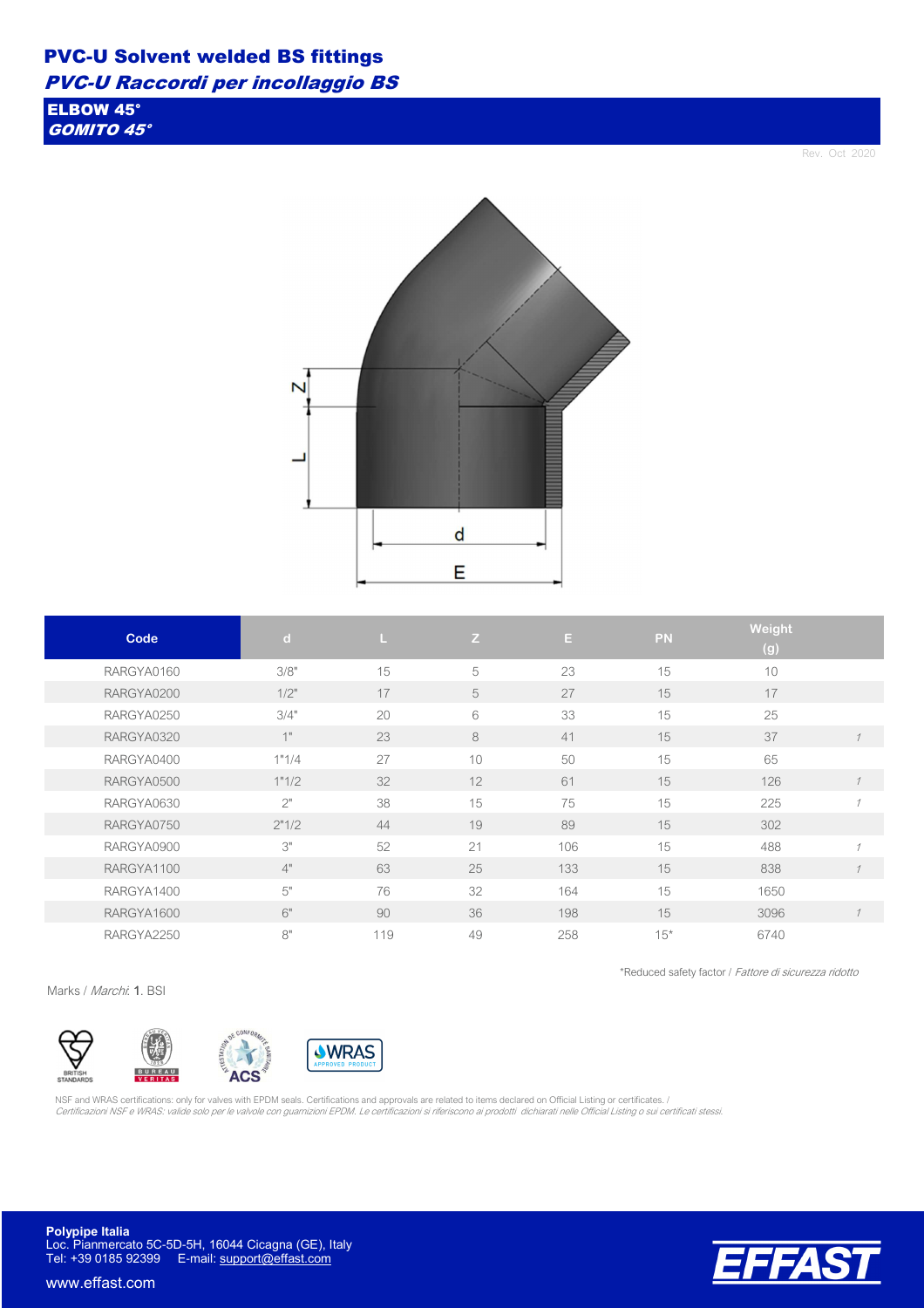# PVC-U Solvent welded BS fittings

PVC-U Raccordi per incollaggio BS

ELBOW 45° GOMITO 45°

Rev. Oct 2020

\*Reduced safety factor / Fattore di sicurezza ridotto



| Code       | $\mathbf d$ | T.  | Z  | E   | <b>PN</b> | <b>Weight</b><br>$\overline{(\mathsf{g})}$ |                          |
|------------|-------------|-----|----|-----|-----------|--------------------------------------------|--------------------------|
| RARGYA0160 | 3/8"        | 15  | 5  | 23  | 15        | 10                                         |                          |
| RARGYA0200 | 1/2"        | 17  | 5  | 27  | 15        | 17                                         |                          |
| RARGYA0250 | 3/4"        | 20  | 6  | 33  | 15        | 25                                         |                          |
| RARGYA0320 | 1"          | 23  | 8  | 41  | 15        | 37                                         |                          |
| RARGYA0400 | 1"1/4       | 27  | 10 | 50  | 15        | 65                                         |                          |
| RARGYA0500 | 1"1/2       | 32  | 12 | 61  | 15        | 126                                        |                          |
| RARGYA0630 | 2"          | 38  | 15 | 75  | 15        | 225                                        | $\overline{\mathcal{U}}$ |
| RARGYA0750 | 2"1/2       | 44  | 19 | 89  | 15        | 302                                        |                          |
| RARGYA0900 | 3"          | 52  | 21 | 106 | 15        | 488                                        | $\overline{1}$           |
| RARGYA1100 | 4"          | 63  | 25 | 133 | 15        | 838                                        |                          |
| RARGYA1400 | 5"          | 76  | 32 | 164 | 15        | 1650                                       |                          |
| RARGYA1600 | 6"          | 90  | 36 | 198 | 15        | 3096                                       | $\mathcal I$             |
| RARGYA2250 | 8"          | 119 | 49 | 258 | $15*$     | 6740                                       |                          |

Marks / Marchi: 1. BSI



NSF and WRAS certifications: only for valves with EPDM seals. Certifications and approvals are related to items declared on Official Listing or certificates. / Certificazioni NSF e WRAS: valide solo per le valvole con guarnizioni EPDM. Le certificazioni si riferiscono ai prodotti dichiarati nelle Official Listing o sui certificati stessi.

**Polypipe Italia** Loc. Pianmercato 5C-5D-5H, 16044 Cicagna (GE), Italy Tel: +39 0185 92399 E-mail: support@effast.com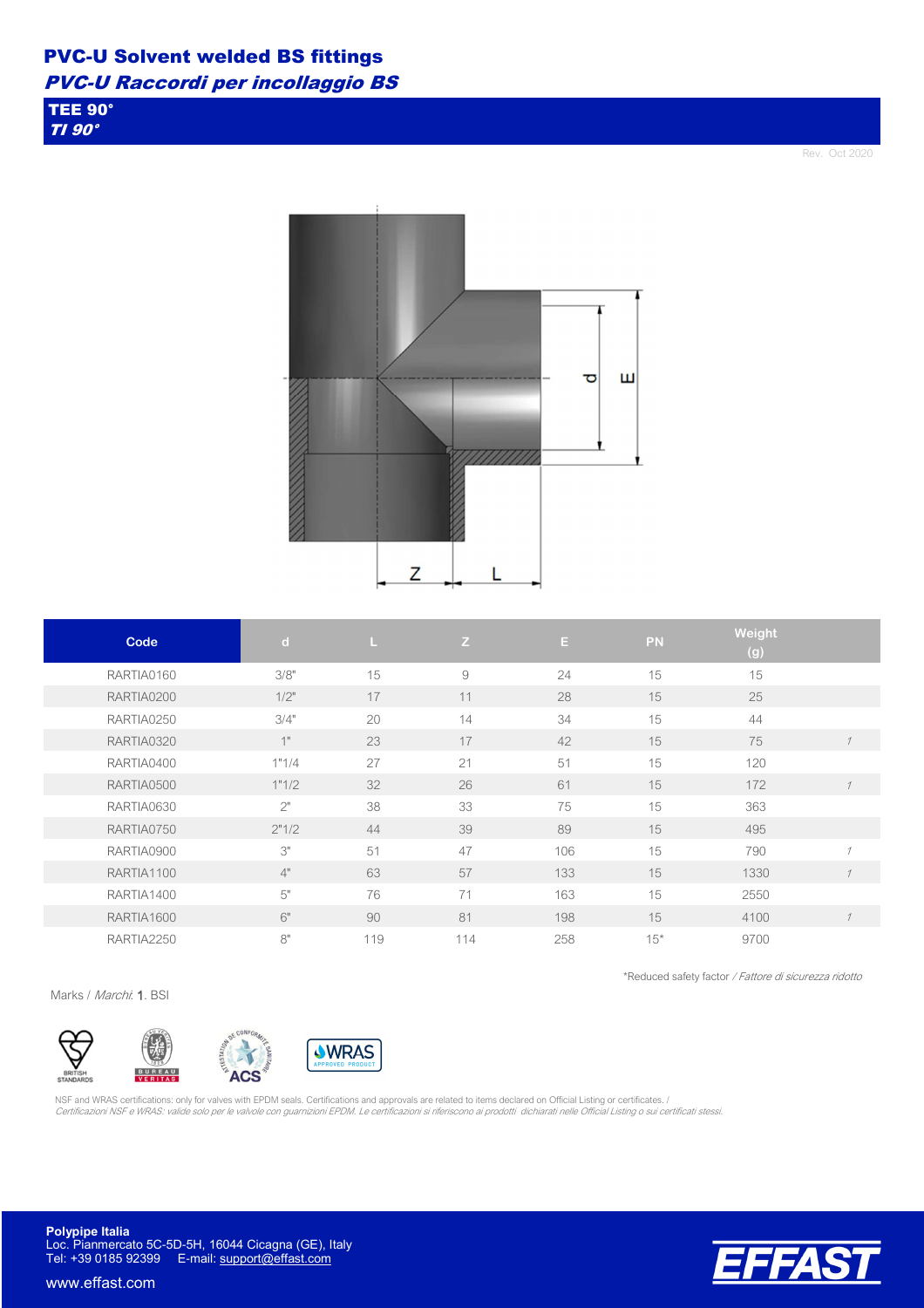TEE 90° TI 90°

Rev. Oct 2020



| Code       | $\mathbf{d}$ | L.  | Z   | E.  | PN    | Weight<br>(g) |                          |
|------------|--------------|-----|-----|-----|-------|---------------|--------------------------|
| RARTIA0160 | 3/8"         | 15  | 9   | 24  | 15    | 15            |                          |
| RARTIA0200 | 1/2"         | 17  | 11  | 28  | 15    | 25            |                          |
| RARTIA0250 | 3/4"         | 20  | 14  | 34  | 15    | 44            |                          |
| RARTIA0320 | 1"           | 23  | 17  | 42  | 15    | 75            | $\mathcal I$             |
| RARTIA0400 | 1"1/4        | 27  | 21  | 51  | 15    | 120           |                          |
| RARTIA0500 | 1"1/2        | 32  | 26  | 61  | 15    | 172           | $\mathcal I$             |
| RARTIA0630 | 2"           | 38  | 33  | 75  | 15    | 363           |                          |
| RARTIA0750 | 2"1/2        | 44  | 39  | 89  | 15    | 495           |                          |
| RARTIA0900 | 3"           | 51  | 47  | 106 | 15    | 790           | $\overline{\mathcal{U}}$ |
| RARTIA1100 | 4"           | 63  | 57  | 133 | 15    | 1330          |                          |
| RARTIA1400 | 5"           | 76  | 71  | 163 | 15    | 2550          |                          |
| RARTIA1600 | 6"           | 90  | 81  | 198 | 15    | 4100          | $\mathcal I$             |
| RARTIA2250 | 8"           | 119 | 114 | 258 | $15*$ | 9700          |                          |

\*Reduced safety factor / Fattore di sicurezza ridotto

Marks / Marchi: 1. BSI



NSF and WRAS certifications: only for valves with EPDM seals. Certifications and approvals are related to items declared on Official Listing or certificates. / Certificazioni NSF e WRAS: valide solo per le valvole con guarnizioni EPDM. Le certificazioni si riferiscono ai prodotti dichiarati nelle Official Listing o sui certificati stessi.

**Polypipe Italia** Loc. Pianmercato 5C-5D-5H, 16044 Cicagna (GE), Italy Tel: +39 0185 92399 E-mail: support@effast.com

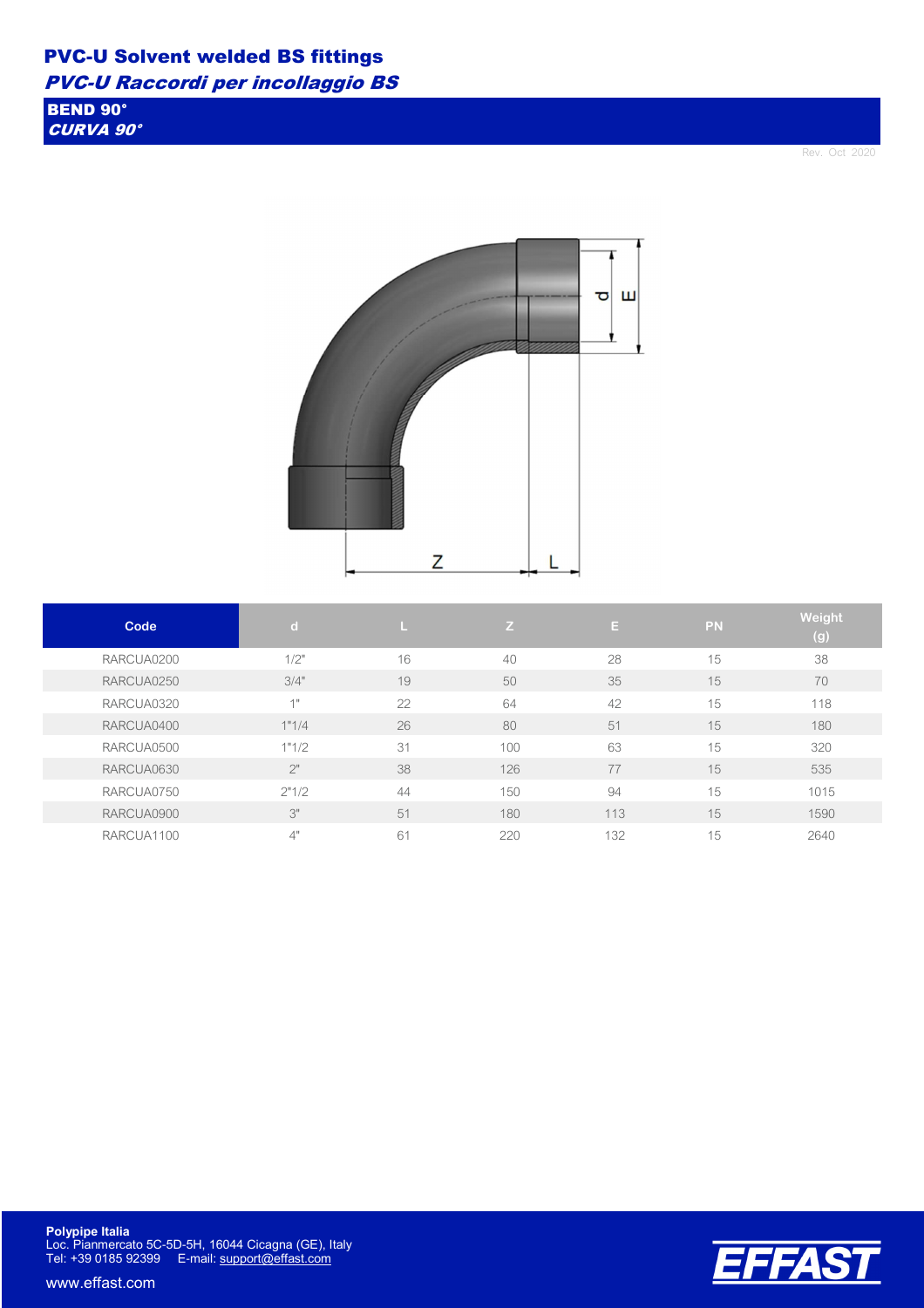BEND 90° CURVA 90°

Rev. Oct 2020



| Code       | $\mathbf d$ | ш  | Z.  | E.  | PN | Weight<br>(g) |
|------------|-------------|----|-----|-----|----|---------------|
| RARCUA0200 | 1/2"        | 16 | 40  | 28  | 15 | 38            |
| RARCUA0250 | 3/4"        | 19 | 50  | 35  | 15 | 70            |
| RARCUA0320 | 1"          | 22 | 64  | 42  | 15 | 118           |
| RARCUA0400 | 1"1/4       | 26 | 80  | 51  | 15 | 180           |
| RARCUA0500 | 1"1/2       | 31 | 100 | 63  | 15 | 320           |
| RARCUA0630 | 2"          | 38 | 126 | 77  | 15 | 535           |
| RARCUA0750 | 2"1/2       | 44 | 150 | 94  | 15 | 1015          |
| RARCUA0900 | 3"          | 51 | 180 | 113 | 15 | 1590          |
| RARCUA1100 | 4"          | 61 | 220 | 132 | 15 | 2640          |



**Polypipe Italia** Loc. Pianmercato 5C-5D-5H, 16044 Cicagna (GE), Italy Tel: +39 0185 92399 E-mail: support@effast.com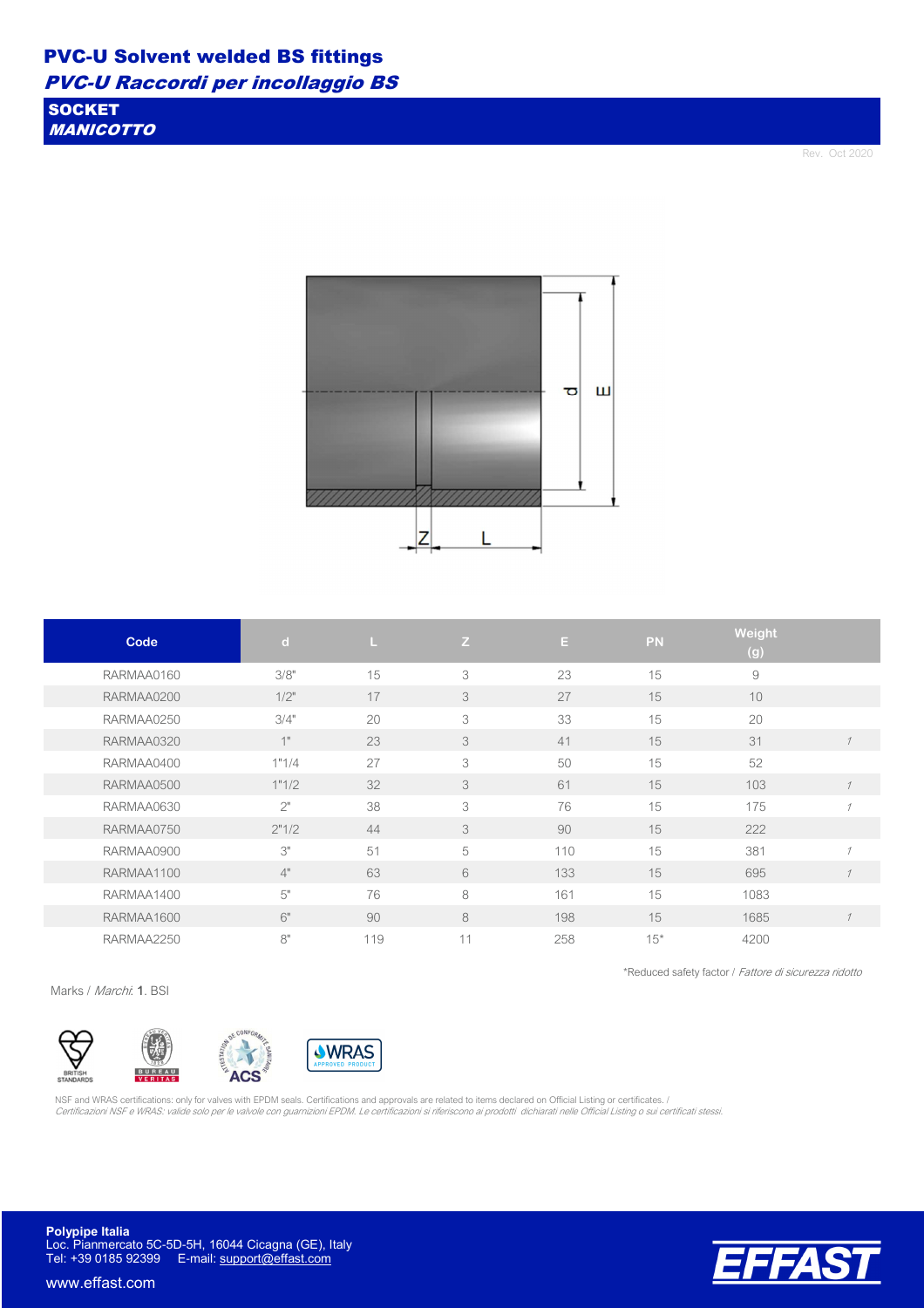**SOCKET** MANICOTTO

Rev. Oct 2020



| Code       | $\mathbf d$ | ш   | Z  | E.  | <b>PN</b> | Weight<br>(g) |                |
|------------|-------------|-----|----|-----|-----------|---------------|----------------|
| RARMAA0160 | 3/8"        | 15  | 3  | 23  | 15        | 9             |                |
| RARMAA0200 | $1/2$ "     | 17  | 3  | 27  | 15        | 10            |                |
| RARMAA0250 | 3/4"        | 20  | 3  | 33  | 15        | 20            |                |
| RARMAA0320 | 1"          | 23  | 3  | 41  | 15        | 31            |                |
| RARMAA0400 | 1"1/4       | 27  | 3  | 50  | 15        | 52            |                |
| RARMAA0500 | 1"1/2       | 32  | 3  | 61  | 15        | 103           |                |
| RARMAA0630 | 2"          | 38  | 3  | 76  | 15        | 175           |                |
| RARMAA0750 | 2"1/2       | 44  | 3  | 90  | 15        | 222           |                |
| RARMAA0900 | 3"          | 51  | 5  | 110 | 15        | 381           | $\overline{A}$ |
| RARMAA1100 | 4"          | 63  | 6  | 133 | 15        | 695           |                |
| RARMAA1400 | 5"          | 76  | 8  | 161 | 15        | 1083          |                |
| RARMAA1600 | 6"          | 90  | 8  | 198 | 15        | 1685          | $\mathcal I$   |
| RARMAA2250 | 8"          | 119 | 11 | 258 | $15*$     | 4200          |                |

Marks / Marchi: 1. BSI



NSF and WRAS certifications: only for valves with EPDM seals. Certifications and approvals are related to items declared on Official Listing or certificates. / Certificazioni NSF e WRAS: valide solo per le valvole con guarnizioni EPDM. Le certificazioni si riferiscono ai prodotti dichiarati nelle Official Listing o sui certificati stessi.

**Polypipe Italia** Loc. Pianmercato 5C-5D-5H, 16044 Cicagna (GE), Italy Tel: +39 0185 92399 E-mail: support@effast.com

www.effast.com



\*Reduced safety factor / Fattore di sicurezza ridotto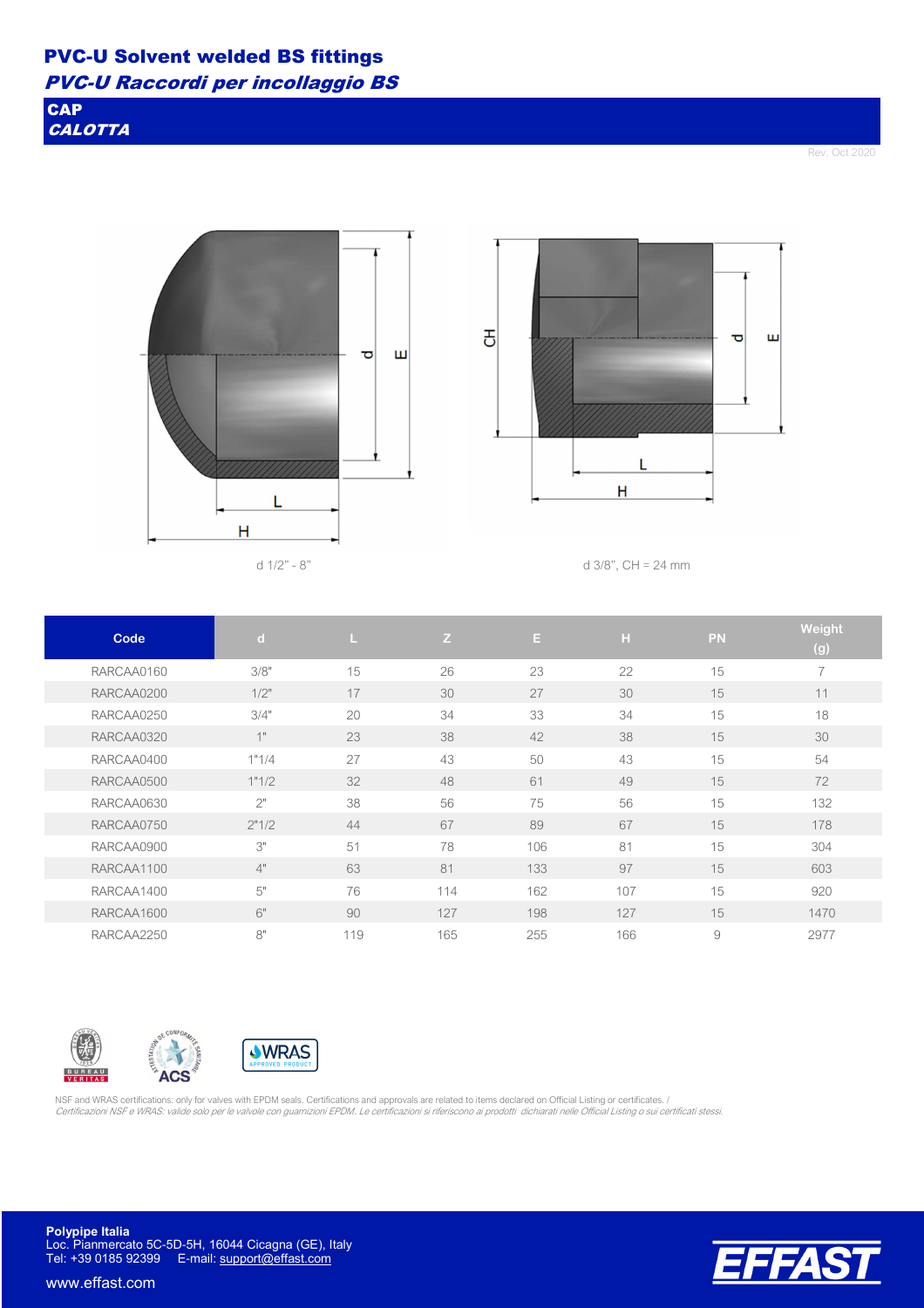**CAP CALOTTA** 

Rev. Oct 2020





d  $1/2$ " - 8" d  $3/8$ ", CH = 24 mm

| Code       | $\mathbf d$ |     | Z   | E   | H   | <b>PN</b> | Weight<br>(g)            |
|------------|-------------|-----|-----|-----|-----|-----------|--------------------------|
| RARCAA0160 | 3/8"        | 15  | 26  | 23  | 22  | 15        | $\overline{\phantom{a}}$ |
| RARCAA0200 | $1/2$ "     | 17  | 30  | 27  | 30  | 15        | 11                       |
| RARCAA0250 | 3/4"        | 20  | 34  | 33  | 34  | 15        | 18                       |
| RARCAA0320 | 1"          | 23  | 38  | 42  | 38  | 15        | 30                       |
| RARCAA0400 | 1"1/4       | 27  | 43  | 50  | 43  | 15        | 54                       |
| RARCAA0500 | 1"1/2       | 32  | 48  | 61  | 49  | 15        | 72                       |
| RARCAA0630 | 2"          | 38  | 56  | 75  | 56  | 15        | 132                      |
| RARCAA0750 | 2"1/2       | 44  | 67  | 89  | 67  | 15        | 178                      |
| RARCAA0900 | 3"          | 51  | 78  | 106 | 81  | 15        | 304                      |
| RARCAA1100 | 4"          | 63  | 81  | 133 | 97  | 15        | 603                      |
| RARCAA1400 | 5"          | 76  | 114 | 162 | 107 | 15        | 920                      |
| RARCAA1600 | 6"          | 90  | 127 | 198 | 127 | 15        | 1470                     |
| RARCAA2250 | 8"          | 119 | 165 | 255 | 166 | 9         | 2977                     |







NSF and WRAS certifications: only for valves with EPDM seals. Certifications and approvals are related to items declared on Official Listing or certificates. / Certificazioni NSF e WRAS: valide solo per le valvole con guarnizioni EPDM. Le certificazioni si riferiscono ai prodotti dichiarati nelle Official Listing o sui certificati stessi.

**Polypipe Italia** Loc. Pianmercato 5C-5D-5H, 16044 Cicagna (GE), Italy Tel: +39 0185 92399 E-mail: support@effast.com

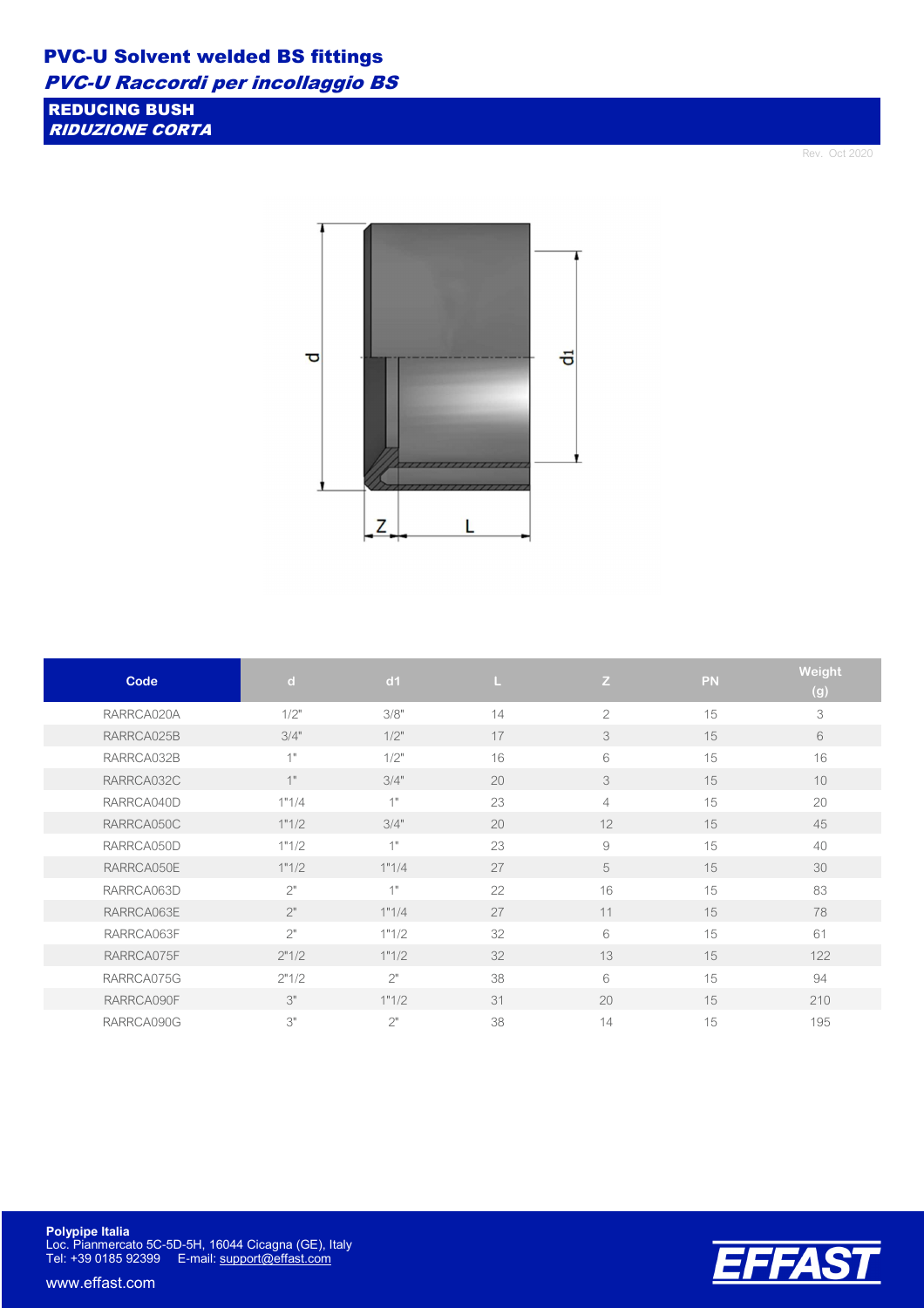REDUCING BUSH

RIDUZIONE CORTA

Rev. Oct 2020



| Code       | $\mathbf d$ | dd1             |    | Z              | <b>PN</b> | Weight<br>(g) |
|------------|-------------|-----------------|----|----------------|-----------|---------------|
| RARRCA020A | 1/2"        | 3/8"            | 14 | $\overline{2}$ | 15        | 3             |
| RARRCA025B | 3/4"        | 1/2"            | 17 | 3              | 15        | 6             |
| RARRCA032B | 1"          | 1/2"            | 16 | 6              | 15        | 16            |
| RARRCA032C | 1"          | 3/4"            | 20 | 3              | 15        | 10            |
| RARRCA040D | 1"1/4       | 4H              | 23 | $\overline{4}$ | 15        | 20            |
| RARRCA050C | 1"1/2       | 3/4"            | 20 | 12             | 15        | 45            |
| RARRCA050D | 1"1/2       | 4 <sub>II</sub> | 23 | $\hbox{ }9$    | 15        | 40            |
| RARRCA050E | 1"1/2       | 1"1/4           | 27 | 5              | 15        | 30            |
| RARRCA063D | 2"          | 41              | 22 | 16             | 15        | 83            |
| RARRCA063E | 2"          | 1"1/4           | 27 | 11             | 15        | 78            |
| RARRCA063F | 2"          | 1"1/2           | 32 | 6              | 15        | 61            |
| RARRCA075F | 2"1/2       | 1"1/2           | 32 | 13             | 15        | 122           |
| RARRCA075G | 2"1/2       | 2"              | 38 | 6              | 15        | 94            |
| RARRCA090F | 3"          | 1"1/2           | 31 | 20             | 15        | 210           |
| RARRCA090G | 3"          | 2"              | 38 | 14             | 15        | 195           |



**Polypipe Italia** Loc. Pianmercato 5C-5D-5H, 16044 Cicagna (GE), Italy Tel: +39 0185 92399 E-mail: support@effast.com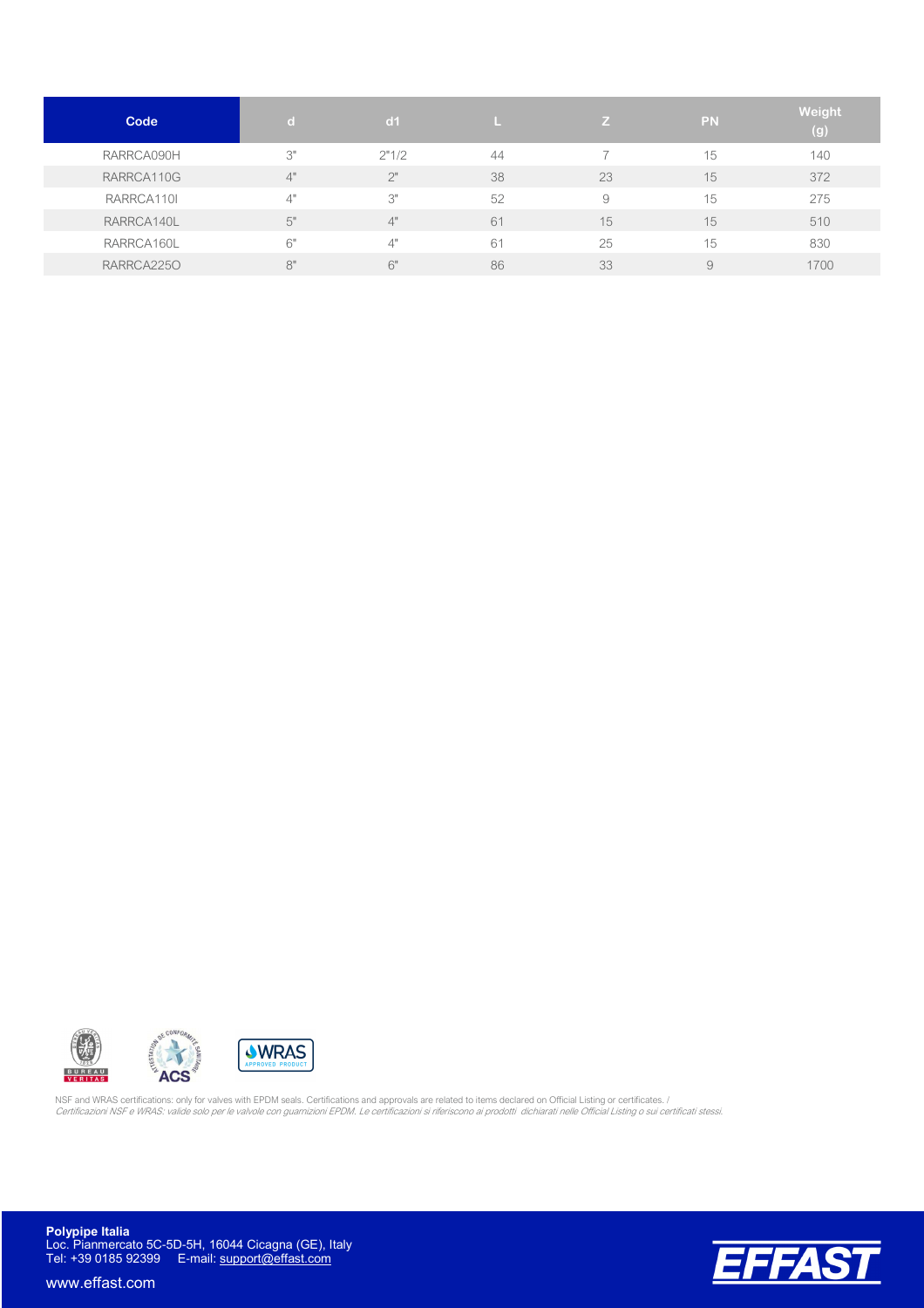| Code       | $\mathbf{d}$ | d <sub>1</sub> |    | v. | <b>PN</b> | Weight<br>(g) |
|------------|--------------|----------------|----|----|-----------|---------------|
| RARRCA090H | 3"           | 2"1/2          | 44 |    | 15        | 140           |
| RARRCA110G | 4"           | 2"             | 38 | 23 | 15        | 372           |
| RARRCA110I | 4"           | 3"             | 52 | 9  | 15        | 275           |
| RARRCA140L | 5"           | 4"             | 61 | 15 | 15        | 510           |
| RARRCA160L | 6"           | 4"             | 61 | 25 | 15        | 830           |
| RARRCA2250 | 8"           | 6"             | 86 | 33 | 9         | 1700          |





NSF and WRAS certifications: only for valves with EPDM seals. Certifications and approvals are related to items declared on Official Listing or certificates. /<br>*Certificazioni NSF e WRAS: valide solo per le valvole con gua* 

**Polypipe Italia** Loc. Pianmercato 5C-5D-5H, 16044 Cicagna (GE), Italy Tel: +39 0185 92399 E-mail: support@effast.com

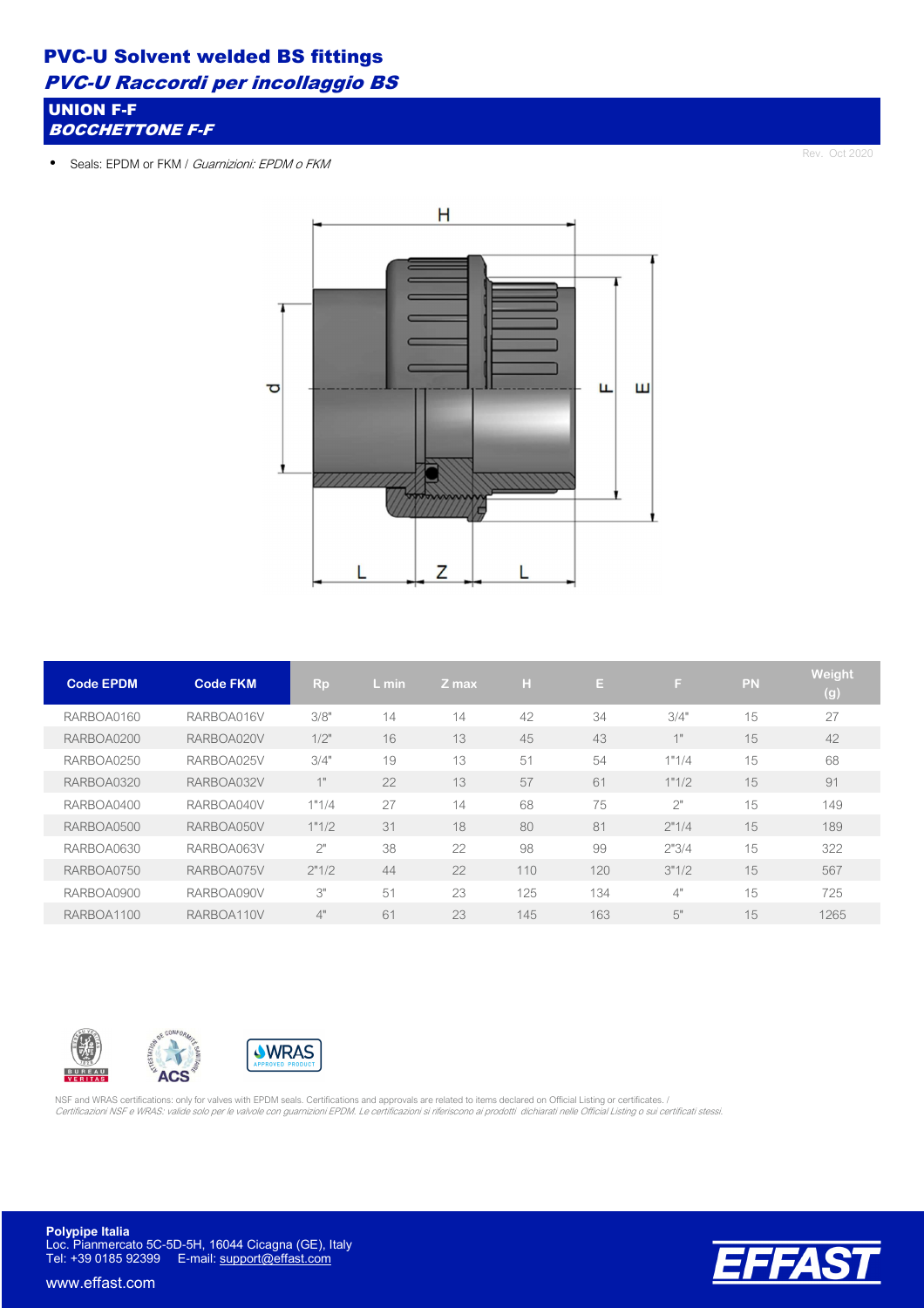#### PVC-U Solvent welded BS fittings

PVC-U Raccordi per incollaggio BS

UNION F-F BOCCHETTONE F-F

• Seals: EPDM or FKM / Guarnizioni: EPDM o FKM

Rev. Oct 2020



| <b>Code EPDM</b> | <b>Code FKM</b> | <b>Rp</b> | L min | Z max | H   | E   | F.    | <b>PN</b> | Weight<br>(g) |
|------------------|-----------------|-----------|-------|-------|-----|-----|-------|-----------|---------------|
| RARBOA0160       | RARBOA016V      | 3/8"      | 14    | 14    | 42  | 34  | 3/4"  | 15        | 27            |
| RARBOA0200       | RARBOA020V      | $1/2$ "   | 16    | 13    | 45  | 43  | 1"    | 15        | 42            |
| RARBOA0250       | RARBOA025V      | 3/4"      | 19    | 13    | 51  | 54  | 1"1/4 | 15        | 68            |
| RARBOA0320       | RARBOA032V      | 1"        | 22    | 13    | 57  | 61  | 1"1/2 | 15        | 91            |
| RARBOA0400       | RARBOA040V      | 1"1/4     | 27    | 14    | 68  | 75  | 2"    | 15        | 149           |
| RARBOA0500       | RARBOA050V      | 1"1/2     | 31    | 18    | 80  | 81  | 2"1/4 | 15        | 189           |
| RARBOA0630       | RARBOA063V      | 2"        | 38    | 22    | 98  | 99  | 2"3/4 | 15        | 322           |
| RARBOA0750       | RARBOA075V      | 2"1/2     | 44    | 22    | 110 | 120 | 3"1/2 | 15        | 567           |
| RARBOA0900       | RARBOA090V      | 3"        | 51    | 23    | 125 | 134 | 4"    | 15        | 725           |
| RARBOA1100       | RARBOA110V      | 4"        | 61    | 23    | 145 | 163 | 5"    | 15        | 1265          |







NSF and WRAS certifications: only for valves with EPDM seals. Certifications and approvals are related to items declared on Official Listing or certificates. / Certificazioni NSF e WRAS: valide solo per le valvole con guarnizioni EPDM. Le certificazioni si riferiscono ai prodotti dichiarati nelle Official Listing o sui certificati stessi.

**Polypipe Italia** Loc. Pianmercato 5C-5D-5H, 16044 Cicagna (GE), Italy Tel: +39 0185 92399 E-mail: support@effast.com

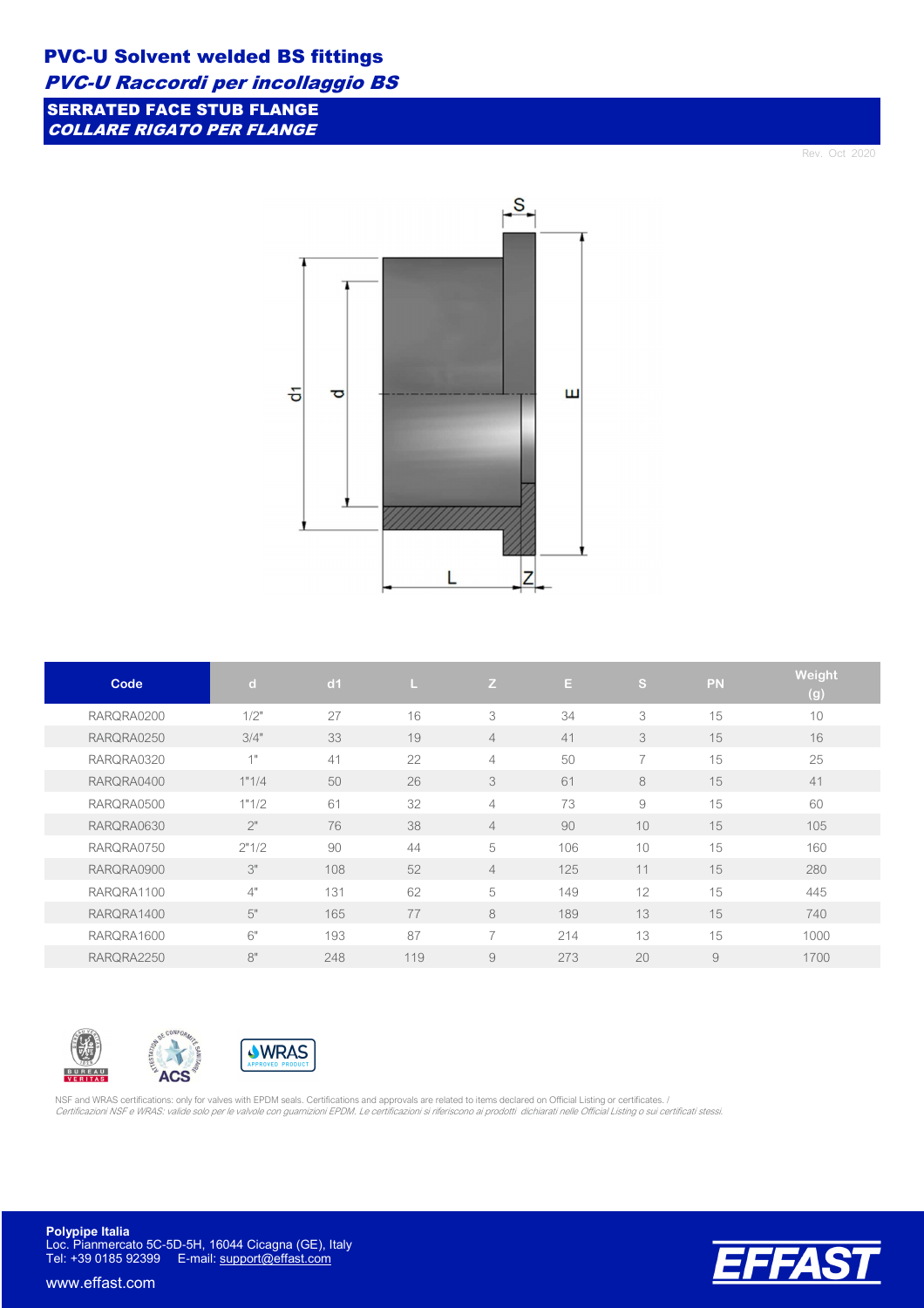#### PVC-U Solvent welded BS fittings

PVC-U Raccordi per incollaggio BS

SERRATED FACE STUB FLANGE COLLARE RIGATO PER FLANGE

Rev. Oct 2020



| Code       | $\mathbf d$ | d1  | L   | Z                        | E.  | ls,            | PN | Weight |
|------------|-------------|-----|-----|--------------------------|-----|----------------|----|--------|
|            |             |     |     |                          |     |                |    | (g)    |
| RARQRA0200 | 1/2"        | 27  | 16  | 3                        | 34  | 3              | 15 | 10     |
| RARQRA0250 | 3/4"        | 33  | 19  | $\overline{4}$           | 41  | 3              | 15 | 16     |
| RARQRA0320 | 1"          | 41  | 22  | $\overline{4}$           | 50  | $\overline{7}$ | 15 | 25     |
| RARQRA0400 | 1"1/4       | 50  | 26  | 3                        | 61  | 8              | 15 | 41     |
| RARQRA0500 | 1"1/2       | 61  | 32  | $\overline{4}$           | 73  | 9              | 15 | 60     |
| RARQRA0630 | 2"          | 76  | 38  | $\overline{4}$           | 90  | 10             | 15 | 105    |
| RARQRA0750 | 2"1/2       | 90  | 44  | 5                        | 106 | 10             | 15 | 160    |
| RARQRA0900 | 3"          | 108 | 52  | $\overline{4}$           | 125 | 11             | 15 | 280    |
| RARORA1100 | 4"          | 131 | 62  | 5                        | 149 | 12             | 15 | 445    |
| RARQRA1400 | 5"          | 165 | 77  | 8                        | 189 | 13             | 15 | 740    |
| RARQRA1600 | 6"          | 193 | 87  | $\overline{\phantom{0}}$ | 214 | 13             | 15 | 1000   |
| RARQRA2250 | 8"          | 248 | 119 | 9                        | 273 | 20             | 9  | 1700   |







NSF and WRAS certifications: only for valves with EPDM seals. Certifications and approvals are related to items declared on Official Listing or certificates. / Certificazioni NSF e WRAS: valide solo per le valvole con guarnizioni EPDM. Le certificazioni si riferiscono ai prodotti dichiarati nelle Official Listing o sui certificati stessi.

**Polypipe Italia** Loc. Pianmercato 5C-5D-5H, 16044 Cicagna (GE), Italy Tel: +39 0185 92399 E-mail: support@effast.com

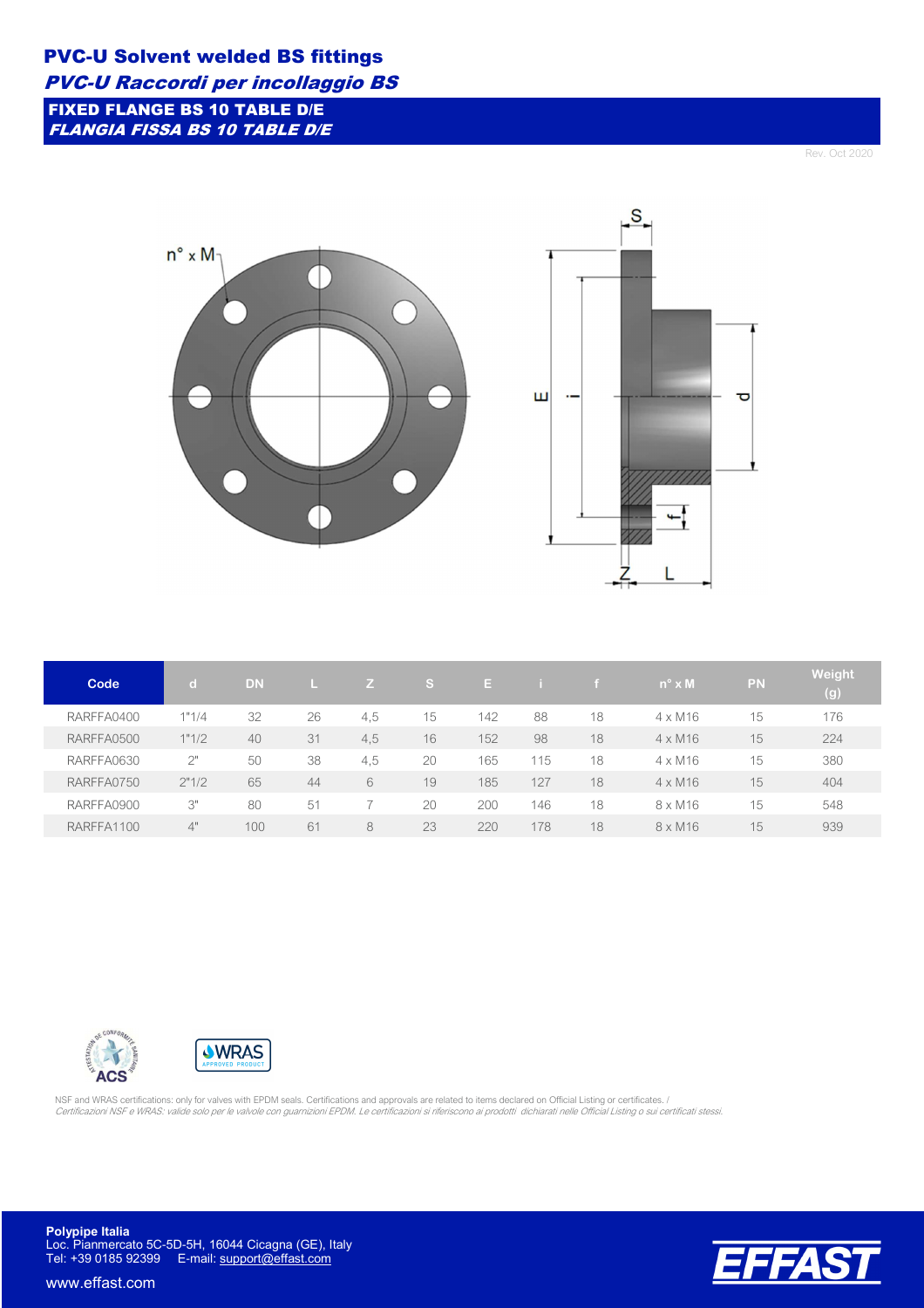FIXED FLANGE BS 10 TABLE D/E FLANGIA FISSA BS 10 TABLE D/E

Rev. Oct 2020

τ



| Code       |       | <b>DN</b> |    | Z.  | <b>S</b> | E.  |     | <b>F</b> | $n^{\circ} \times M$ | <b>PN</b> | Weight<br>(g) |
|------------|-------|-----------|----|-----|----------|-----|-----|----------|----------------------|-----------|---------------|
| RARFFA0400 | 1"1/4 | 32        | 26 | 4,5 | 15       | 142 | 88  | 18       | $4 \times M16$       | 15        | 176           |
| RARFFA0500 | 1"1/2 | 40        | 31 | 4.5 | 16       | 152 | 98  | 18       | $4 \times M16$       | 15        | 224           |
| RARFFA0630 | 2"    | 50        | 38 | 4,5 | 20       | 165 | 115 | 18       | $4 \times M16$       | 15        | 380           |
| RARFFA0750 | 2"1/2 | 65        | 44 | 6   | 19       | 185 | 127 | 18       | $4 \times M16$       | 15        | 404           |
| RARFFA0900 | 3"    | 80        | 51 |     | 20       | 200 | 146 | 18       | $8 \times M16$       | 15        | 548           |
| RARFFA1100 | 4"    | 100       | 61 | 8   | 23       | 220 | 178 | 18       | $8 \times M16$       | 15        | 939           |





NSF and WRAS certifications: only for valves with EPDM seals. Certifications and approvals are related to items declared on Official Listing or certificates. /<br>*Certificazioni NSF e WRAS: valide solo per le valvole con gua* 

**Polypipe Italia** Loc. Pianmercato 5C-5D-5H, 16044 Cicagna (GE), Italy Tel: +39 0185 92399 E-mail: support@effast.com